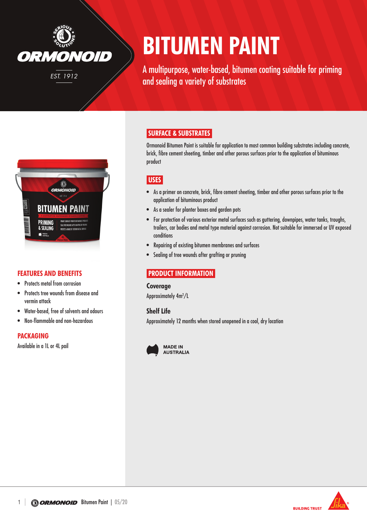

# **BITUMEN PAINT**

A multipurpose, water-based, bitumen coating suitable for priming and sealing a variety of substrates



## **FEATURES AND BENEFITS**

- Protects metal from corrosion
- Protects tree wounds from disease and vermin attack
- Water-based, free of solvents and odours
- • Non-flammable and non-hazardous

### **PACKAGING**

Available in a 1L or 4L pail

# **SURFACE & SUBSTRATES**

Ormonoid Bitumen Paint is suitable for application to most common building substrates including concrete, brick, fibre cement sheeting, timber and other porous surfaces prior to the application of bituminous product

# **USES**

- • As a primer on concrete, brick, fibre cement sheeting, timber and other porous surfaces prior to the application of bituminous product
- As a sealer for planter boxes and garden pots
- • For protection of various exterior metal surfaces such as guttering, downpipes, water tanks, troughs, trailers, car bodies and metal type material against corrosion. Not suitable for immersed or UV exposed conditions
- Repairing of existing bitumen membranes and surfaces
- Sealing of tree wounds after grafting or pruning

# **PRODUCT INFORMATION**

#### **Coverage**

Approximately 4m2 /L

#### **Shelf Life**

Approximately 12 months when stored unopened in a cool, dry location